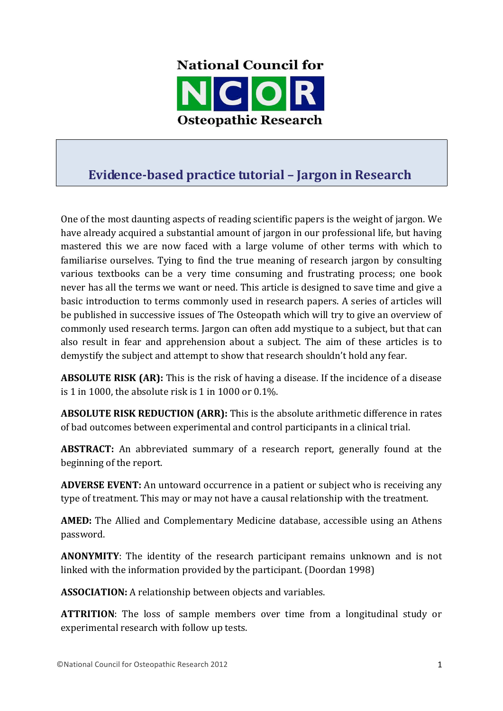

## **Evidence-based practice tutorial – Jargon in Research**

One of the most daunting aspects of reading scientific papers is the weight of jargon. We have already acquired a substantial amount of jargon in our professional life, but having mastered this we are now faced with a large volume of other terms with which to familiarise ourselves. Tying to find the true meaning of research jargon by consulting various textbooks can be a very time consuming and frustrating process; one book never has all the terms we want or need. This article is designed to save time and give a basic introduction to terms commonly used in research papers. A series of articles will be published in successive issues of The Osteopath which will try to give an overview of commonly used research terms. Jargon can often add mystique to a subject, but that can also result in fear and apprehension about a subject. The aim of these articles is to demystify the subject and attempt to show that research shouldn't hold any fear.

**ABSOLUTE RISK (AR):** This is the risk of having a disease. If the incidence of a disease is 1 in 1000, the absolute risk is 1 in 1000 or 0.1%.

**ABSOLUTE RISK REDUCTION (ARR):** This is the absolute arithmetic difference in rates of bad outcomes between experimental and control participants in a clinical trial.

**ABSTRACT:** An abbreviated summary of a research report, generally found at the beginning of the report.

**ADVERSE EVENT:** An untoward occurrence in a patient or subject who is receiving any type of treatment. This may or may not have a causal relationship with the treatment.

**AMED:** The Allied and Complementary Medicine database, accessible using an Athens password.

**ANONYMITY**: The identity of the research participant remains unknown and is not linked with the information provided by the participant. (Doordan 1998)

ASSOCIATION: A relationship between objects and variables.

**ATTRITION**: The loss of sample members over time from a longitudinal study or experimental research with follow up tests.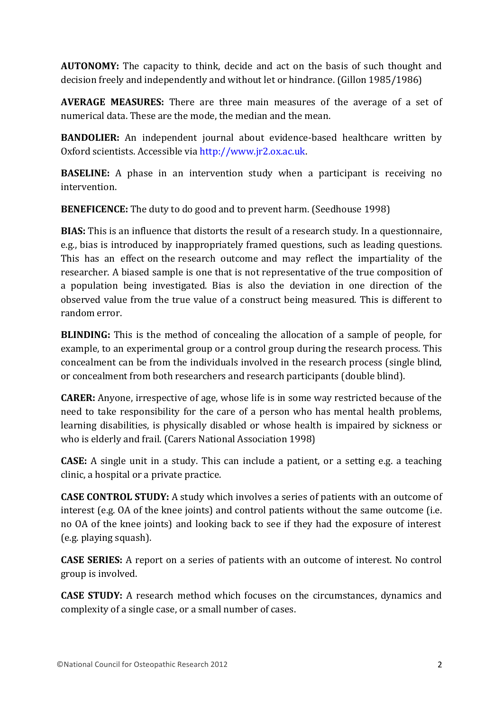**AUTONOMY:** The capacity to think, decide and act on the basis of such thought and decision freely and independently and without let or hindrance. (Gillon 1985/1986)

**AVERAGE MEASURES:** There are three main measures of the average of a set of numerical data. These are the mode, the median and the mean.

**BANDOLIER:** An independent journal about evidence-based healthcare written by Oxford scientists. Accessible via http://www.jr2.ox.ac.uk.

**BASELINE:** A phase in an intervention study when a participant is receiving no intervention.

**BENEFICENCE:** The duty to do good and to prevent harm. (Seedhouse 1998)

**BIAS:** This is an influence that distorts the result of a research study. In a questionnaire, e.g., bias is introduced by inappropriately framed questions, such as leading questions. This has an effect on the research outcome and may reflect the impartiality of the researcher. A biased sample is one that is not representative of the true composition of a population being investigated. Bias is also the deviation in one direction of the observed value from the true value of a construct being measured. This is different to random error.

**BLINDING:** This is the method of concealing the allocation of a sample of people, for example, to an experimental group or a control group during the research process. This concealment can be from the individuals involved in the research process (single blind, or concealment from both researchers and research participants (double blind).

**CARER:** Anyone, irrespective of age, whose life is in some way restricted because of the need to take responsibility for the care of a person who has mental health problems, learning disabilities, is physically disabled or whose health is impaired by sickness or who is elderly and frail. (Carers National Association 1998)

**CASE:** A single unit in a study. This can include a patient, or a setting e.g. a teaching clinic, a hospital or a private practice.

**CASE CONTROL STUDY:** A study which involves a series of patients with an outcome of interest (e.g. OA of the knee joints) and control patients without the same outcome (i.e. no OA of the knee joints) and looking back to see if they had the exposure of interest (e.g. playing squash).

**CASE SERIES:** A report on a series of patients with an outcome of interest. No control group is involved.

**CASE STUDY:** A research method which focuses on the circumstances, dynamics and complexity of a single case, or a small number of cases.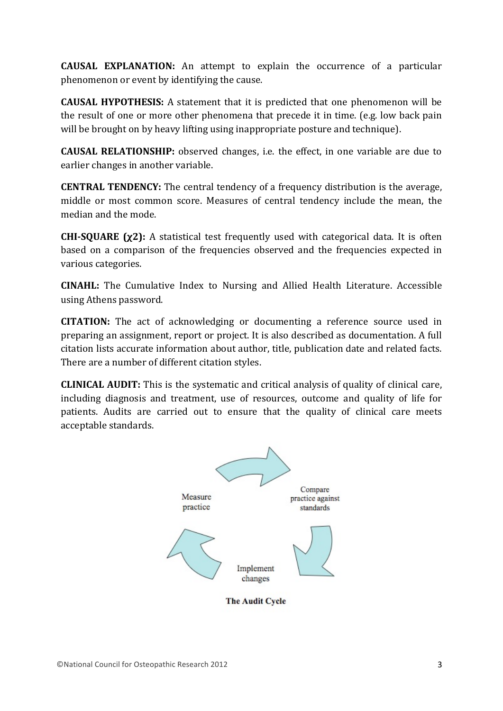**CAUSAL EXPLANATION:** An attempt to explain the occurrence of a particular phenomenon or event by identifying the cause.

**CAUSAL HYPOTHESIS:** A statement that it is predicted that one phenomenon will be the result of one or more other phenomena that precede it in time. (e.g. low back pain will be brought on by heavy lifting using inappropriate posture and technique).

**CAUSAL RELATIONSHIP:** observed changes, i.e. the effect, in one variable are due to earlier changes in another variable.

**CENTRAL TENDENCY:** The central tendency of a frequency distribution is the average, middle or most common score. Measures of central tendency include the mean, the median and the mode.

**CHI-SQUARE (χ2):** A statistical test frequently used with categorical data. It is often based on a comparison of the frequencies observed and the frequencies expected in various categories.

**CINAHL:** The Cumulative Index to Nursing and Allied Health Literature. Accessible using Athens password.

**CITATION:** The act of acknowledging or documenting a reference source used in preparing an assignment, report or project. It is also described as documentation. A full citation lists accurate information about author, title, publication date and related facts. There are a number of different citation styles.

**CLINICAL AUDIT:** This is the systematic and critical analysis of quality of clinical care, including diagnosis and treatment, use of resources, outcome and quality of life for patients. Audits are carried out to ensure that the quality of clinical care meets acceptable standards.



**The Audit Cycle**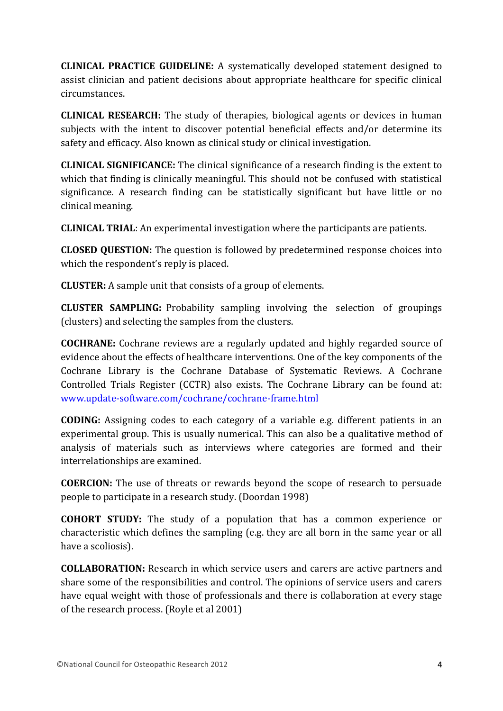**CLINICAL PRACTICE GUIDELINE:** A systematically developed statement designed to assist clinician and patient decisions about appropriate healthcare for specific clinical circumstances.

**CLINICAL RESEARCH:** The study of therapies, biological agents or devices in human subjects with the intent to discover potential beneficial effects and/or determine its safety and efficacy. Also known as clinical study or clinical investigation.

**CLINICAL SIGNIFICANCE:** The clinical significance of a research finding is the extent to which that finding is clinically meaningful. This should not be confused with statistical significance. A research finding can be statistically significant but have little or no clinical meaning.

**CLINICAL TRIAL:** An experimental investigation where the participants are patients.

**CLOSED QUESTION:** The question is followed by predetermined response choices into which the respondent's reply is placed.

**CLUSTER:** A sample unit that consists of a group of elements.

**CLUSTER SAMPLING:** Probability sampling involving the selection of groupings (clusters) and selecting the samples from the clusters.

**COCHRANE:** Cochrane reviews are a regularly updated and highly regarded source of evidence about the effects of healthcare interventions. One of the key components of the Cochrane Library is the Cochrane Database of Systematic Reviews. A Cochrane Controlled Trials Register (CCTR) also exists. The Cochrane Library can be found at: www.update-software.com/cochrane/cochrane-frame.html

**CODING:** Assigning codes to each category of a variable e.g. different patients in an experimental group. This is usually numerical. This can also be a qualitative method of analysis of materials such as interviews where categories are formed and their interrelationships are examined.

**COERCION:** The use of threats or rewards beyond the scope of research to persuade people to participate in a research study. (Doordan 1998)

**COHORT STUDY:** The study of a population that has a common experience or characteristic which defines the sampling (e.g. they are all born in the same year or all have a scoliosis).

**COLLABORATION:** Research in which service users and carers are active partners and share some of the responsibilities and control. The opinions of service users and carers have equal weight with those of professionals and there is collaboration at every stage of the research process. (Royle et al 2001)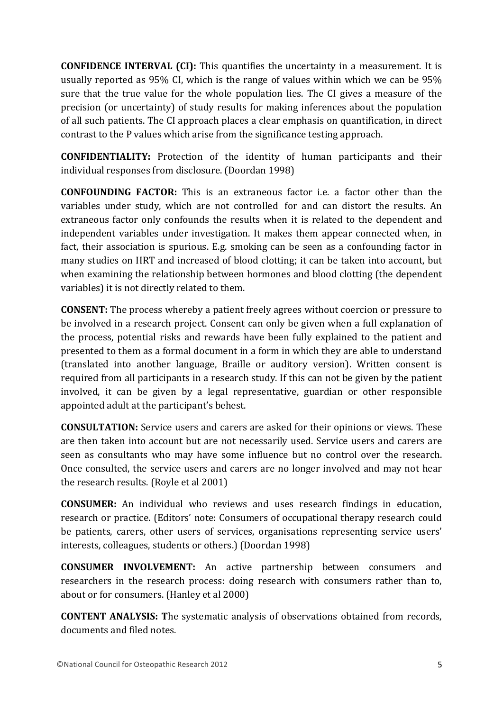**CONFIDENCE INTERVAL (CI):** This quantifies the uncertainty in a measurement. It is usually reported as 95% CI, which is the range of values within which we can be 95% sure that the true value for the whole population lies. The CI gives a measure of the precision (or uncertainty) of study results for making inferences about the population of all such patients. The CI approach places a clear emphasis on quantification, in direct contrast to the P values which arise from the significance testing approach.

**CONFIDENTIALITY:** Protection of the identity of human participants and their individual responses from disclosure. (Doordan 1998)

**CONFOUNDING FACTOR:** This is an extraneous factor i.e. a factor other than the variables under study, which are not controlled for and can distort the results. An extraneous factor only confounds the results when it is related to the dependent and independent variables under investigation. It makes them appear connected when, in fact, their association is spurious. E.g. smoking can be seen as a confounding factor in many studies on HRT and increased of blood clotting; it can be taken into account, but when examining the relationship between hormones and blood clotting (the dependent variables) it is not directly related to them.

**CONSENT:** The process whereby a patient freely agrees without coercion or pressure to be involved in a research project. Consent can only be given when a full explanation of the process, potential risks and rewards have been fully explained to the patient and presented to them as a formal document in a form in which they are able to understand (translated into another language, Braille or auditory version). Written consent is required from all participants in a research study. If this can not be given by the patient involved, it can be given by a legal representative, guardian or other responsible appointed adult at the participant's behest.

**CONSULTATION:** Service users and carers are asked for their opinions or views. These are then taken into account but are not necessarily used. Service users and carers are seen as consultants who may have some influence but no control over the research. Once consulted, the service users and carers are no longer involved and may not hear the research results. (Royle et al 2001)

**CONSUMER:** An individual who reviews and uses research findings in education, research or practice. (Editors' note: Consumers of occupational therapy research could be patients, carers, other users of services, organisations representing service users' interests, colleagues, students or others.) (Doordan 1998)

**CONSUMER INVOLVEMENT:** An active partnership between consumers and researchers in the research process: doing research with consumers rather than to, about or for consumers. (Hanley et al 2000)

**CONTENT ANALYSIS: T**he systematic analysis of observations obtained from records, documents and filed notes.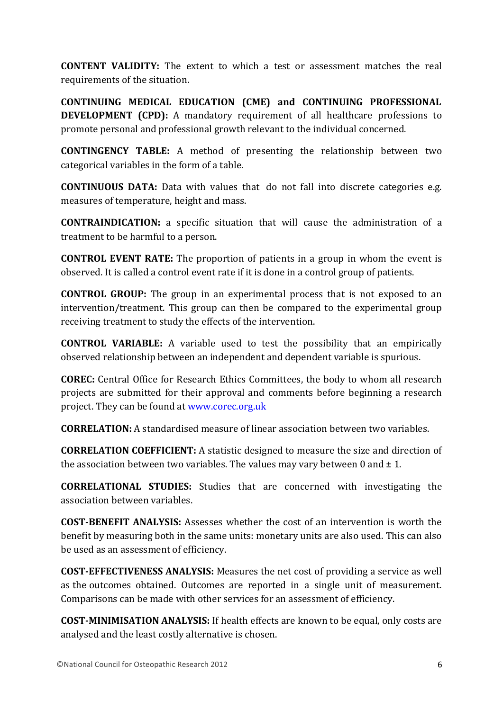**CONTENT VALIDITY:** The extent to which a test or assessment matches the real requirements of the situation.

**CONTINUING MEDICAL EDUCATION (CME) and CONTINUING PROFESSIONAL DEVELOPMENT** (CPD): A mandatory requirement of all healthcare professions to promote personal and professional growth relevant to the individual concerned.

**CONTINGENCY TABLE:** A method of presenting the relationship between two categorical variables in the form of a table.

**CONTINUOUS DATA:** Data with values that do not fall into discrete categories e.g. measures of temperature, height and mass.

**CONTRAINDICATION:** a specific situation that will cause the administration of a treatment to be harmful to a person.

**CONTROL EVENT RATE:** The proportion of patients in a group in whom the event is observed. It is called a control event rate if it is done in a control group of patients.

**CONTROL GROUP:** The group in an experimental process that is not exposed to an intervention/treatment. This group can then be compared to the experimental group receiving treatment to study the effects of the intervention.

**CONTROL VARIABLE:** A variable used to test the possibility that an empirically observed relationship between an independent and dependent variable is spurious.

**COREC:** Central Office for Research Ethics Committees, the body to whom all research projects are submitted for their approval and comments before beginning a research project. They can be found at www.corec.org.uk

**CORRELATION:** A standardised measure of linear association between two variables.

**CORRELATION COEFFICIENT:** A statistic designed to measure the size and direction of the association between two variables. The values may vary between 0 and  $\pm$  1.

**CORRELATIONAL STUDIES:** Studies that are concerned with investigating the association between variables

**COST-BENEFIT ANALYSIS:** Assesses whether the cost of an intervention is worth the benefit by measuring both in the same units: monetary units are also used. This can also be used as an assessment of efficiency.

**COST-EFFECTIVENESS ANALYSIS:** Measures the net cost of providing a service as well as the outcomes obtained. Outcomes are reported in a single unit of measurement. Comparisons can be made with other services for an assessment of efficiency.

**COST-MINIMISATION ANALYSIS:** If health effects are known to be equal, only costs are analysed and the least costly alternative is chosen.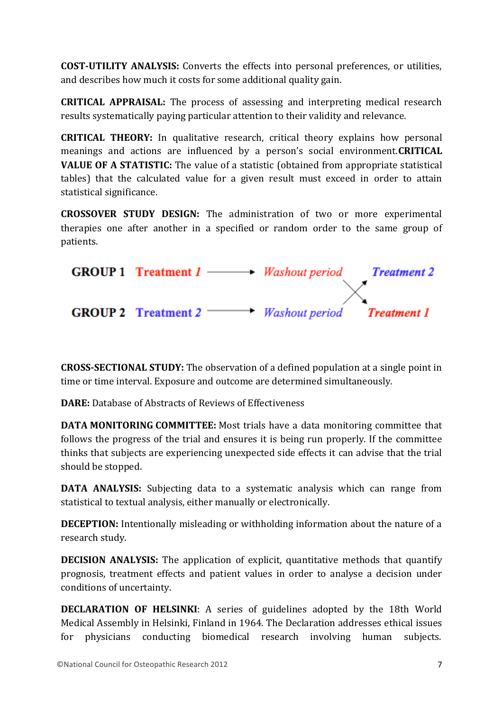**COST-UTILITY ANALYSIS:** Converts the effects into personal preferences, or utilities, and describes how much it costs for some additional quality gain.

**CRITICAL APPRAISAL:** The process of assessing and interpreting medical research results systematically paying particular attention to their validity and relevance.

**CRITICAL THEORY:** In qualitative research, critical theory explains how personal meanings and actions are influenced by a person's social environment.**CRITICAL VALUE OF A STATISTIC:** The value of a statistic (obtained from appropriate statistical tables) that the calculated value for a given result must exceed in order to attain statistical significance.

**CROSSOVER STUDY DESIGN:** The administration of two or more experimental therapies one after another in a specified or random order to the same group of patients.



**CROSS-SECTIONAL STUDY:** The observation of a defined population at a single point in time or time interval. Exposure and outcome are determined simultaneously.

**DARE:** Database of Abstracts of Reviews of Effectiveness

**DATA MONITORING COMMITTEE:** Most trials have a data monitoring committee that follows the progress of the trial and ensures it is being run properly. If the committee thinks that subjects are experiencing unexpected side effects it can advise that the trial should be stopped.

**DATA ANALYSIS:** Subjecting data to a systematic analysis which can range from statistical to textual analysis, either manually or electronically.

**DECEPTION:** Intentionally misleading or withholding information about the nature of a research study.

**DECISION ANALYSIS:** The application of explicit, quantitative methods that quantify prognosis, treatment effects and patient values in order to analyse a decision under conditions of uncertainty.

**DECLARATION OF HELSINKI**: A series of guidelines adopted by the 18th World Medical Assembly in Helsinki, Finland in 1964. The Declaration addresses ethical issues for physicians conducting biomedical research involving human subjects.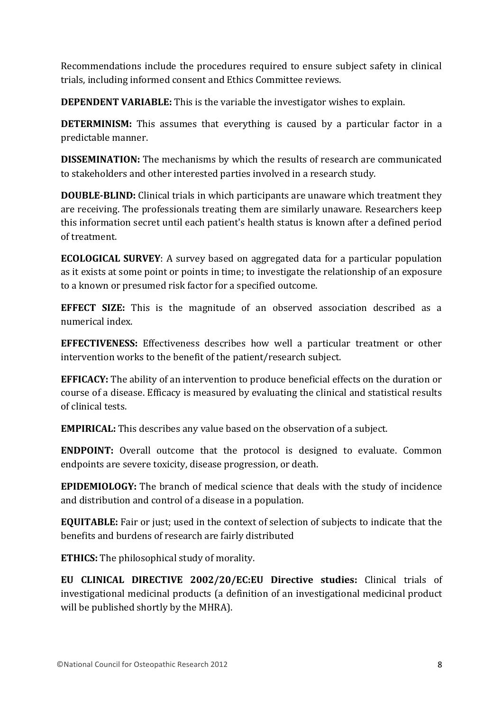Recommendations include the procedures required to ensure subject safety in clinical trials, including informed consent and Ethics Committee reviews.

**DEPENDENT VARIABLE:** This is the variable the investigator wishes to explain.

**DETERMINISM:** This assumes that everything is caused by a particular factor in a predictable manner.

**DISSEMINATION:** The mechanisms by which the results of research are communicated to stakeholders and other interested parties involved in a research study.

**DOUBLE-BLIND:** Clinical trials in which participants are unaware which treatment they are receiving. The professionals treating them are similarly unaware. Researchers keep this information secret until each patient's health status is known after a defined period of treatment.

**ECOLOGICAL SURVEY**: A survey based on aggregated data for a particular population as it exists at some point or points in time; to investigate the relationship of an exposure to a known or presumed risk factor for a specified outcome.

**EFFECT SIZE:** This is the magnitude of an observed association described as a numerical index.

**EFFECTIVENESS:** Effectiveness describes how well a particular treatment or other intervention works to the benefit of the patient/research subject.

**EFFICACY:** The ability of an intervention to produce beneficial effects on the duration or course of a disease. Efficacy is measured by evaluating the clinical and statistical results of clinical tests.

**EMPIRICAL:** This describes any value based on the observation of a subject.

**ENDPOINT:** Overall outcome that the protocol is designed to evaluate. Common endpoints are severe toxicity, disease progression, or death.

**EPIDEMIOLOGY:** The branch of medical science that deals with the study of incidence and distribution and control of a disease in a population.

**EQUITABLE:** Fair or just; used in the context of selection of subjects to indicate that the benefits and burdens of research are fairly distributed

**ETHICS:** The philosophical study of morality.

**EU CLINICAL DIRECTIVE 2002/20/EC:EU Directive studies:** Clinical trials of investigational medicinal products (a definition of an investigational medicinal product will be published shortly by the MHRA).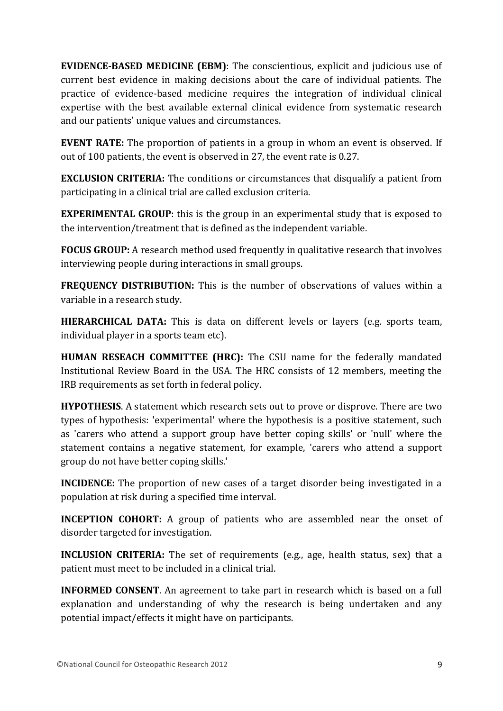**EVIDENCE-BASED MEDICINE (EBM)**: The conscientious, explicit and judicious use of current best evidence in making decisions about the care of individual patients. The practice of evidence-based medicine requires the integration of individual clinical expertise with the best available external clinical evidence from systematic research and our patients' unique values and circumstances.

**EVENT RATE:** The proportion of patients in a group in whom an event is observed. If out of 100 patients, the event is observed in 27, the event rate is 0.27.

**EXCLUSION CRITERIA:** The conditions or circumstances that disqualify a patient from participating in a clinical trial are called exclusion criteria.

**EXPERIMENTAL GROUP**: this is the group in an experimental study that is exposed to the intervention/treatment that is defined as the independent variable.

**FOCUS GROUP:** A research method used frequently in qualitative research that involves interviewing people during interactions in small groups.

**FREQUENCY DISTRIBUTION:** This is the number of observations of values within a variable in a research study.

**HIERARCHICAL DATA:** This is data on different levels or layers (e.g. sports team, individual player in a sports team etc).

**HUMAN RESEACH COMMITTEE (HRC):** The CSU name for the federally mandated Institutional Review Board in the USA. The HRC consists of 12 members, meeting the IRB requirements as set forth in federal policy.

**HYPOTHESIS**. A statement which research sets out to prove or disprove. There are two types of hypothesis: 'experimental' where the hypothesis is a positive statement, such as 'carers who attend a support group have better coping skills' or 'null' where the statement contains a negative statement, for example, 'carers who attend a support group do not have better coping skills.'

**INCIDENCE:** The proportion of new cases of a target disorder being investigated in a population at risk during a specified time interval.

**INCEPTION COHORT:** A group of patients who are assembled near the onset of disorder targeted for investigation.

**INCLUSION CRITERIA:** The set of requirements (e.g., age, health status, sex) that a patient must meet to be included in a clinical trial.

**INFORMED CONSENT**. An agreement to take part in research which is based on a full explanation and understanding of why the research is being undertaken and any potential impact/effects it might have on participants.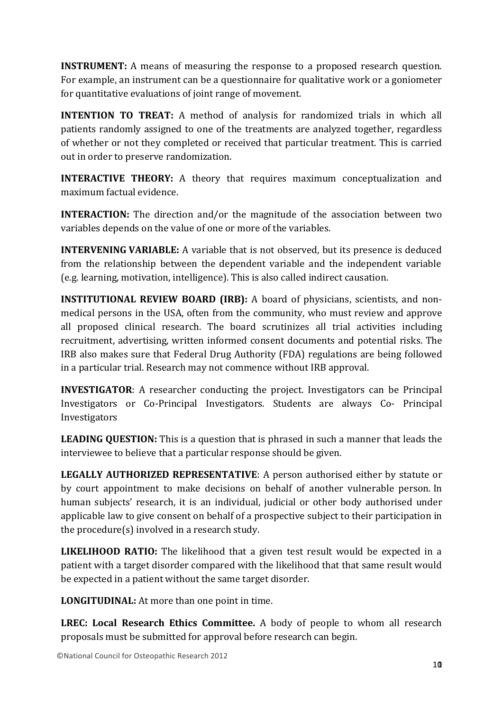**INSTRUMENT:** A means of measuring the response to a proposed research question. For example, an instrument can be a questionnaire for qualitative work or a goniometer for quantitative evaluations of joint range of movement.

**INTENTION TO TREAT:** A method of analysis for randomized trials in which all patients randomly assigned to one of the treatments are analyzed together, regardless of whether or not they completed or received that particular treatment. This is carried out in order to preserve randomization.

**INTERACTIVE THEORY:** A theory that requires maximum conceptualization and maximum factual evidence.

**INTERACTION:** The direction and/or the magnitude of the association between two variables depends on the value of one or more of the variables.

**INTERVENING VARIABLE:** A variable that is not observed, but its presence is deduced from the relationship between the dependent variable and the independent variable (e.g. learning, motivation, intelligence). This is also called indirect causation.

**INSTITUTIONAL REVIEW BOARD (IRB):** A board of physicians, scientists, and nonmedical persons in the USA, often from the community, who must review and approve all proposed clinical research. The board scrutinizes all trial activities including recruitment, advertising, written informed consent documents and potential risks. The IRB also makes sure that Federal Drug Authority (FDA) regulations are being followed in a particular trial. Research may not commence without IRB approval.

**INVESTIGATOR**: A researcher conducting the project. Investigators can be Principal Investigators or Co-Principal Investigators. Students are always Co- Principal Investigators

**LEADING QUESTION:** This is a question that is phrased in such a manner that leads the interviewee to believe that a particular response should be given.

**LEGALLY AUTHORIZED REPRESENTATIVE**: A person authorised either by statute or by court appointment to make decisions on behalf of another vulnerable person. In human subjects' research, it is an individual, judicial or other body authorised under applicable law to give consent on behalf of a prospective subject to their participation in the procedure $(s)$  involved in a research study.

**LIKELIHOOD RATIO:** The likelihood that a given test result would be expected in a patient with a target disorder compared with the likelihood that that same result would be expected in a patient without the same target disorder.

**LONGITUDINAL:** At more than one point in time.

**LREC: Local Research Ethics Committee.** A body of people to whom all research proposals must be submitted for approval before research can begin.

©National Council for Osteopathic Research 2012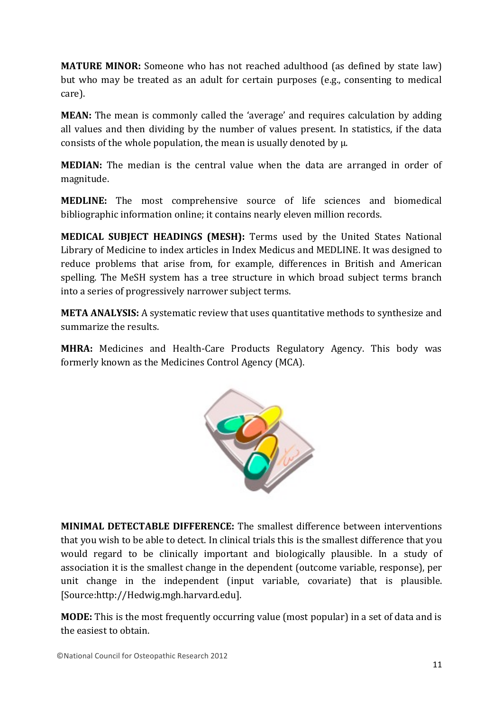**MATURE MINOR:** Someone who has not reached adulthood (as defined by state law) but who may be treated as an adult for certain purposes (e.g., consenting to medical care).

**MEAN:** The mean is commonly called the 'average' and requires calculation by adding all values and then dividing by the number of values present. In statistics, if the data consists of the whole population, the mean is usually denoted by  $\mu$ .

**MEDIAN:** The median is the central value when the data are arranged in order of magnitude.

**MEDLINE:** The most comprehensive source of life sciences and biomedical bibliographic information online; it contains nearly eleven million records.

**MEDICAL SUBJECT HEADINGS (MESH):** Terms used by the United States National Library of Medicine to index articles in Index Medicus and MEDLINE. It was designed to reduce problems that arise from, for example, differences in British and American spelling. The MeSH system has a tree structure in which broad subject terms branch into a series of progressively narrower subject terms.

**META ANALYSIS:** A systematic review that uses quantitative methods to synthesize and summarize the results.

**MHRA:** Medicines and Health-Care Products Regulatory Agency. This body was formerly known as the Medicines Control Agency (MCA).



**MINIMAL DETECTABLE DIFFERENCE:** The smallest difference between interventions that you wish to be able to detect. In clinical trials this is the smallest difference that you would regard to be clinically important and biologically plausible. In a study of association it is the smallest change in the dependent (outcome variable, response), per unit change in the independent (input variable, covariate) that is plausible. [Source:http://Hedwig.mgh.harvard.edu].

**MODE:** This is the most frequently occurring value (most popular) in a set of data and is the easiest to obtain.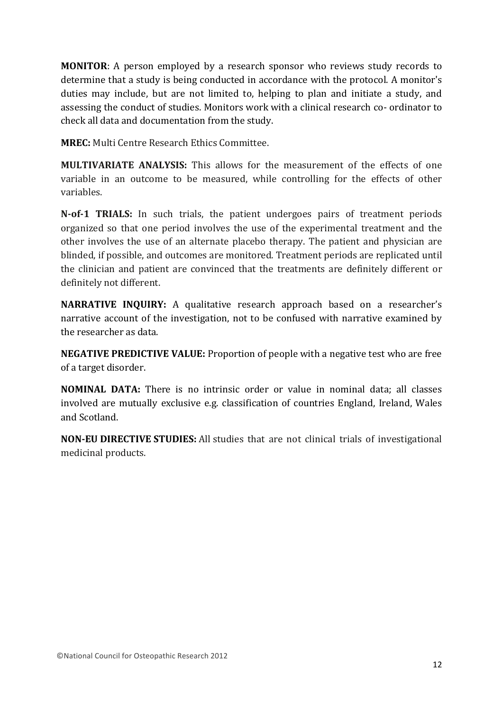**MONITOR**: A person employed by a research sponsor who reviews study records to determine that a study is being conducted in accordance with the protocol. A monitor's duties may include, but are not limited to, helping to plan and initiate a study, and assessing the conduct of studies. Monitors work with a clinical research co- ordinator to check all data and documentation from the study.

**MREC:** Multi Centre Research Ethics Committee.

**MULTIVARIATE ANALYSIS:** This allows for the measurement of the effects of one variable in an outcome to be measured, while controlling for the effects of other variables.

**N-of-1 TRIALS:** In such trials, the patient undergoes pairs of treatment periods organized so that one period involves the use of the experimental treatment and the other involves the use of an alternate placebo therapy. The patient and physician are blinded, if possible, and outcomes are monitored. Treatment periods are replicated until the clinician and patient are convinced that the treatments are definitely different or definitely not different.

**NARRATIVE INQUIRY:** A qualitative research approach based on a researcher's narrative account of the investigation, not to be confused with narrative examined by the researcher as data.

**NEGATIVE PREDICTIVE VALUE:** Proportion of people with a negative test who are free of a target disorder.

**NOMINAL DATA:** There is no intrinsic order or value in nominal data; all classes involved are mutually exclusive e.g. classification of countries England, Ireland, Wales and Scotland.

**NON-EU DIRECTIVE STUDIES:** All studies that are not clinical trials of investigational medicinal products.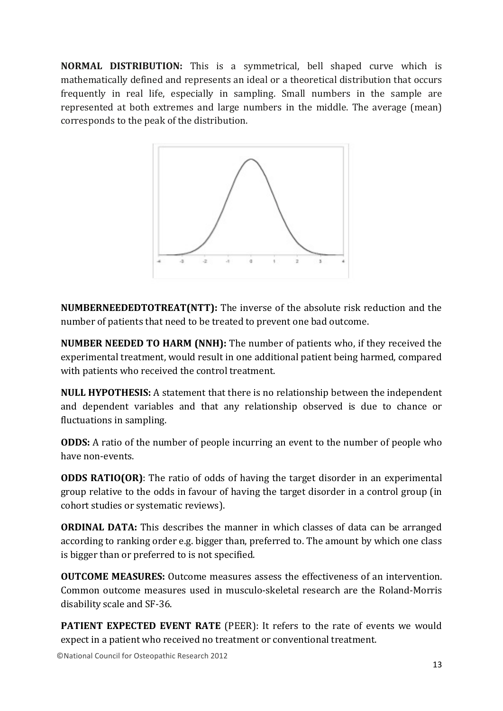**NORMAL DISTRIBUTION:** This is a symmetrical, bell shaped curve which is mathematically defined and represents an ideal or a theoretical distribution that occurs frequently in real life, especially in sampling. Small numbers in the sample are represented at both extremes and large numbers in the middle. The average (mean) corresponds to the peak of the distribution.



**NUMBERNEEDEDTOTREAT(NTT):** The inverse of the absolute risk reduction and the number of patients that need to be treated to prevent one bad outcome.

**NUMBER NEEDED TO HARM (NNH):** The number of patients who, if they received the experimental treatment, would result in one additional patient being harmed, compared with patients who received the control treatment.

**NULL HYPOTHESIS:** A statement that there is no relationship between the independent and dependent variables and that any relationship observed is due to chance or fluctuations in sampling.

**ODDS:** A ratio of the number of people incurring an event to the number of people who have non-events.

**ODDS RATIO(OR)**: The ratio of odds of having the target disorder in an experimental group relative to the odds in favour of having the target disorder in a control group (in cohort studies or systematic reviews).

**ORDINAL DATA:** This describes the manner in which classes of data can be arranged according to ranking order e.g. bigger than, preferred to. The amount by which one class is bigger than or preferred to is not specified.

**OUTCOME MEASURES:** Outcome measures assess the effectiveness of an intervention. Common outcome measures used in musculo-skeletal research are the Roland-Morris disability scale and SF-36.

**PATIENT EXPECTED EVENT RATE** (PEER): It refers to the rate of events we would expect in a patient who received no treatment or conventional treatment.

©National Council for Osteopathic Research 2012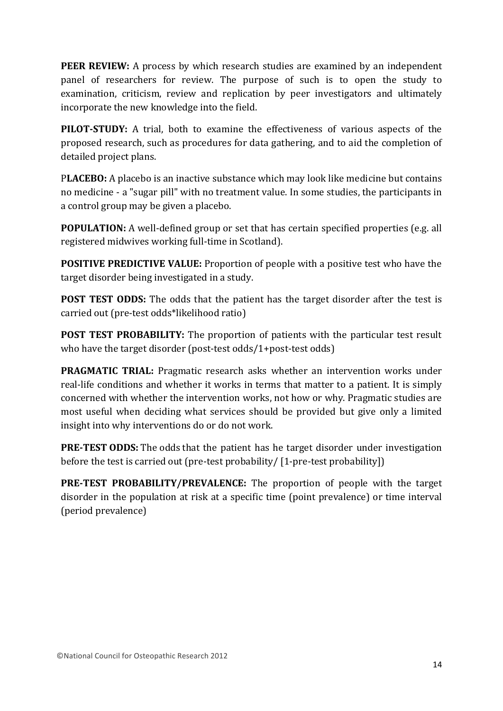**PEER REVIEW:** A process by which research studies are examined by an independent panel of researchers for review. The purpose of such is to open the study to examination, criticism, review and replication by peer investigators and ultimately incorporate the new knowledge into the field.

**PILOT-STUDY:** A trial, both to examine the effectiveness of various aspects of the proposed research, such as procedures for data gathering, and to aid the completion of detailed project plans.

PLACEBO: A placebo is an inactive substance which may look like medicine but contains no medicine - a "sugar pill" with no treatment value. In some studies, the participants in a control group may be given a placebo.

**POPULATION:** A well-defined group or set that has certain specified properties (e.g. all registered midwives working full-time in Scotland).

**POSITIVE PREDICTIVE VALUE:** Proportion of people with a positive test who have the target disorder being investigated in a study.

**POST TEST ODDS:** The odds that the patient has the target disorder after the test is carried out (pre-test odds\*likelihood ratio)

**POST TEST PROBABILITY:** The proportion of patients with the particular test result who have the target disorder (post-test odds/1+post-test odds)

**PRAGMATIC TRIAL:** Pragmatic research asks whether an intervention works under real-life conditions and whether it works in terms that matter to a patient. It is simply concerned with whether the intervention works, not how or why. Pragmatic studies are most useful when deciding what services should be provided but give only a limited insight into why interventions do or do not work.

**PRE-TEST ODDS:** The odds that the patient has he target disorder under investigation before the test is carried out (pre-test probability/  $[1$ -pre-test probability])

**PRE-TEST PROBABILITY/PREVALENCE:** The proportion of people with the target disorder in the population at risk at a specific time (point prevalence) or time interval (period prevalence)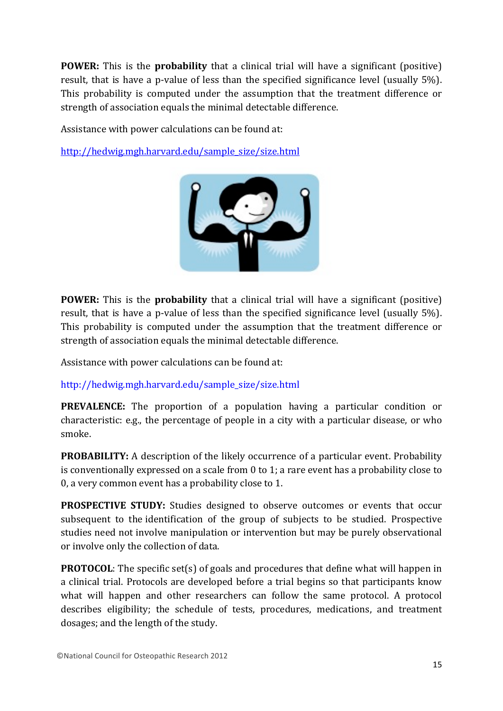**POWER:** This is the **probability** that a clinical trial will have a significant (positive) result, that is have a p-value of less than the specified significance level (usually 5%). This probability is computed under the assumption that the treatment difference or strength of association equals the minimal detectable difference.

Assistance with power calculations can be found at:

http://hedwig.mgh.harvard.edu/sample\_size/size.html



**POWER:** This is the **probability** that a clinical trial will have a significant (positive) result, that is have a p-value of less than the specified significance level (usually 5%). This probability is computed under the assumption that the treatment difference or strength of association equals the minimal detectable difference.

Assistance with power calculations can be found at:

http://hedwig.mgh.harvard.edu/sample\_size/size.html

**PREVALENCE:** The proportion of a population having a particular condition or characteristic: e.g., the percentage of people in a city with a particular disease, or who smoke.

**PROBABILITY:** A description of the likely occurrence of a particular event. Probability is conventionally expressed on a scale from  $0$  to 1; a rare event has a probability close to 0, a very common event has a probability close to 1.

**PROSPECTIVE STUDY:** Studies designed to observe outcomes or events that occur subsequent to the identification of the group of subjects to be studied. Prospective studies need not involve manipulation or intervention but may be purely observational or involve only the collection of data.

**PROTOCOL:** The specific set(s) of goals and procedures that define what will happen in a clinical trial. Protocols are developed before a trial begins so that participants know what will happen and other researchers can follow the same protocol. A protocol describes eligibility; the schedule of tests, procedures, medications, and treatment dosages; and the length of the study.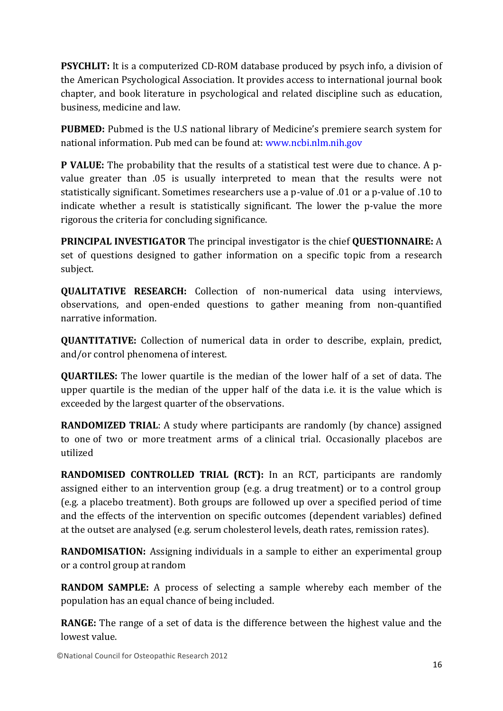**PSYCHLIT:** It is a computerized CD-ROM database produced by psych info, a division of the American Psychological Association. It provides access to international journal book chapter, and book literature in psychological and related discipline such as education, business, medicine and law.

**PUBMED:** Pubmed is the U.S national library of Medicine's premiere search system for national information. Pub med can be found at: www.ncbi.nlm.nih.gov

**P VALUE:** The probability that the results of a statistical test were due to chance. A pvalue greater than .05 is usually interpreted to mean that the results were not statistically significant. Sometimes researchers use a p-value of .01 or a p-value of .10 to indicate whether a result is statistically significant. The lower the p-value the more rigorous the criteria for concluding significance.

**PRINCIPAL INVESTIGATOR** The principal investigator is the chief **QUESTIONNAIRE:** A set of questions designed to gather information on a specific topic from a research subject.

**QUALITATIVE RESEARCH:** Collection of non-numerical data using interviews, observations, and open-ended questions to gather meaning from non-quantified narrative information.

**QUANTITATIVE:** Collection of numerical data in order to describe, explain, predict, and/or control phenomena of interest.

**QUARTILES:** The lower quartile is the median of the lower half of a set of data. The upper quartile is the median of the upper half of the data i.e. it is the value which is exceeded by the largest quarter of the observations.

**RANDOMIZED TRIAL**: A study where participants are randomly (by chance) assigned to one of two or more treatment arms of a clinical trial. Occasionally placebos are utilized

**RANDOMISED CONTROLLED TRIAL (RCT):** In an RCT, participants are randomly assigned either to an intervention group (e.g. a drug treatment) or to a control group (e.g. a placebo treatment). Both groups are followed up over a specified period of time and the effects of the intervention on specific outcomes (dependent variables) defined at the outset are analysed (e.g. serum cholesterol levels, death rates, remission rates).

**RANDOMISATION:** Assigning individuals in a sample to either an experimental group or a control group at random

**RANDOM SAMPLE:** A process of selecting a sample whereby each member of the population has an equal chance of being included.

**RANGE:** The range of a set of data is the difference between the highest value and the lowest value.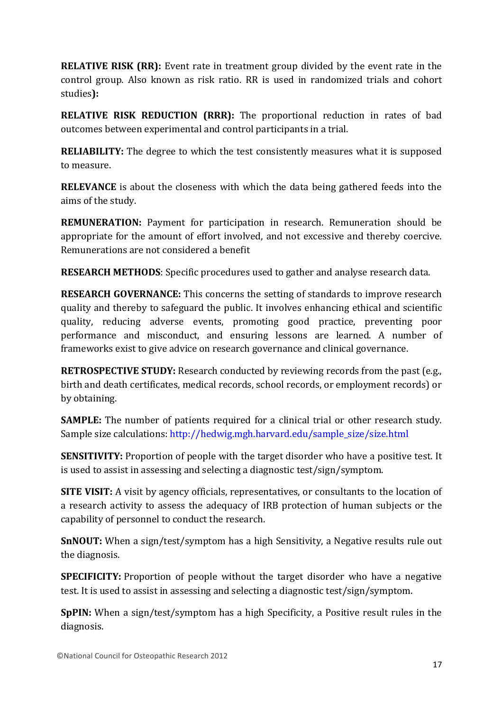**RELATIVE RISK (RR):** Event rate in treatment group divided by the event rate in the control group. Also known as risk ratio. RR is used in randomized trials and cohort studies**):**

**RELATIVE RISK REDUCTION (RRR):** The proportional reduction in rates of bad outcomes between experimental and control participants in a trial.

**RELIABILITY:** The degree to which the test consistently measures what it is supposed to measure.

**RELEVANCE** is about the closeness with which the data being gathered feeds into the aims of the study.

**REMUNERATION:** Payment for participation in research. Remuneration should be appropriate for the amount of effort involved, and not excessive and thereby coercive. Remunerations are not considered a benefit

**RESEARCH METHODS:** Specific procedures used to gather and analyse research data.

**RESEARCH GOVERNANCE:** This concerns the setting of standards to improve research quality and thereby to safeguard the public. It involves enhancing ethical and scientific quality, reducing adverse events, promoting good practice, preventing poor performance and misconduct, and ensuring lessons are learned. A number of frameworks exist to give advice on research governance and clinical governance.

**RETROSPECTIVE STUDY:** Research conducted by reviewing records from the past (e.g., birth and death certificates, medical records, school records, or employment records) or by obtaining.

**SAMPLE:** The number of patients required for a clinical trial or other research study. Sample size calculations: http://hedwig.mgh.harvard.edu/sample\_size/size.html

**SENSITIVITY:** Proportion of people with the target disorder who have a positive test. It is used to assist in assessing and selecting a diagnostic test/sign/symptom.

**SITE VISIT:** A visit by agency officials, representatives, or consultants to the location of a research activity to assess the adequacy of IRB protection of human subjects or the capability of personnel to conduct the research.

**SnNOUT:** When a sign/test/symptom has a high Sensitivity, a Negative results rule out the diagnosis.

**SPECIFICITY:** Proportion of people without the target disorder who have a negative test. It is used to assist in assessing and selecting a diagnostic test/sign/symptom.

**SpPIN:** When a sign/test/symptom has a high Specificity, a Positive result rules in the diagnosis.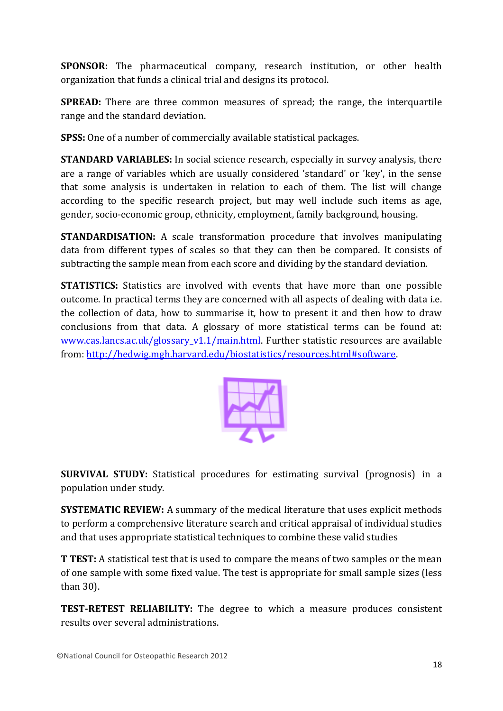**SPONSOR:** The pharmaceutical company, research institution, or other health organization that funds a clinical trial and designs its protocol.

**SPREAD:** There are three common measures of spread; the range, the interquartile range and the standard deviation.

**SPSS:** One of a number of commercially available statistical packages.

**STANDARD VARIABLES:** In social science research, especially in survey analysis, there are a range of variables which are usually considered 'standard' or 'key', in the sense that some analysis is undertaken in relation to each of them. The list will change according to the specific research project, but may well include such items as age, gender, socio-economic group, ethnicity, employment, family background, housing.

**STANDARDISATION:** A scale transformation procedure that involves manipulating data from different types of scales so that they can then be compared. It consists of subtracting the sample mean from each score and dividing by the standard deviation.

**STATISTICS:** Statistics are involved with events that have more than one possible outcome. In practical terms they are concerned with all aspects of dealing with data i.e. the collection of data, how to summarise it, how to present it and then how to draw conclusions from that data. A glossary of more statistical terms can be found at: www.cas.lancs.ac.uk/glossary v1.1/main.html. Further statistic resources are available from: http://hedwig.mgh.harvard.edu/biostatistics/resources.html#software.



**SURVIVAL STUDY:** Statistical procedures for estimating survival (prognosis) in a population under study.

**SYSTEMATIC REVIEW:** A summary of the medical literature that uses explicit methods to perform a comprehensive literature search and critical appraisal of individual studies and that uses appropriate statistical techniques to combine these valid studies

**T TEST:** A statistical test that is used to compare the means of two samples or the mean of one sample with some fixed value. The test is appropriate for small sample sizes (less than 30).

**TEST-RETEST RELIABILITY:** The degree to which a measure produces consistent results over several administrations.